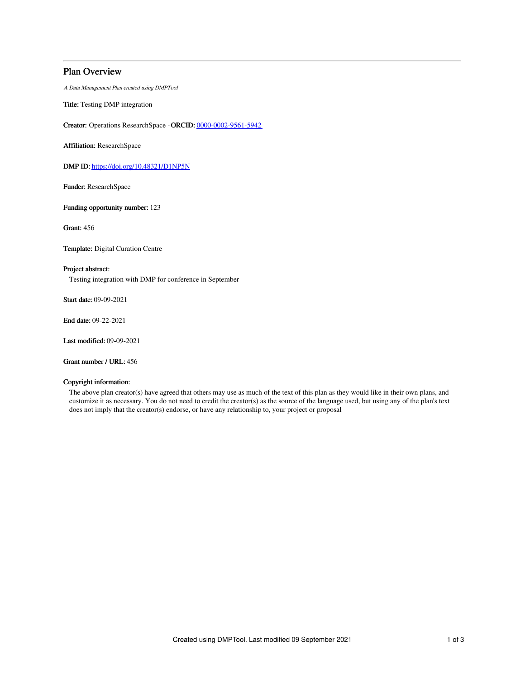# Plan Overview

A Data Management Plan created using DMPTool

Title: Testing DMP integration

Creator: Operations ResearchSpace -ORCID: [0000-0002-9561-5942](https://orcid.org/0000-0002-9561-5942)

Affiliation: ResearchSpace

DMP ID: <https://doi.org/10.48321/D1NP5N>

Funder: ResearchSpace

Funding opportunity number: 123

Grant: 456

Template: Digital Curation Centre

## Project abstract:

Testing integration with DMP for conference in September

Start date: 09-09-2021

End date: 09-22-2021

Last modified: 09-09-2021

Grant number / URL: 456

## Copyright information:

The above plan creator(s) have agreed that others may use as much of the text of this plan as they would like in their own plans, and customize it as necessary. You do not need to credit the creator(s) as the source of the language used, but using any of the plan's text does not imply that the creator(s) endorse, or have any relationship to, your project or proposal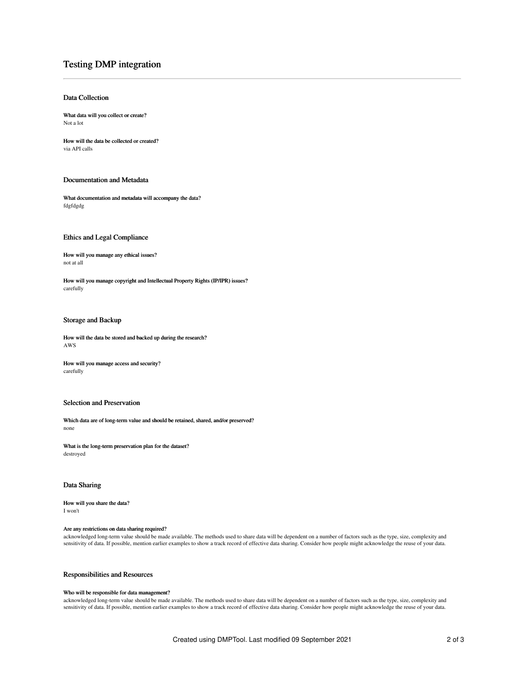# Testing DMP integration

## Data Collection

What data will you collect or create? Not a lot

How will the data be collected or created? via API calls

### Documentation and Metadata

What documentation and metadata will accompany the data? fdgfdgdg

#### Ethics and Legal Compliance

How will you manage any ethical issues? not at all

How will you manage copyright and Intellectual Property Rights (IP/IPR) issues? carefully

## Storage and Backup

How will the data be stored and backed up during the research? AWS

How will you manage access and security? carefully

#### Selection and Preservation

Which data are of long-term value and should be retained, shared, and/or preserved? none

What is the long-term preservation plan for the dataset? destroyed

## Data Sharing

How will you share the data? I won't

#### Are any restrictions on data sharing required?

acknowledged long-term value should be made available. The methods used to share data will be dependent on a number of factors such as the type, size, complexity and<br>sensitivity of data. If possible, mention earlier exampl

# Responsibilities and Resources

#### Who will be responsible for data management?

acknowledged long-term value should be made available. The methods used to share data will be dependent on a number of factors such as the type, size, complexity and<br>sensitivity of data. If possible, mention earlier exampl